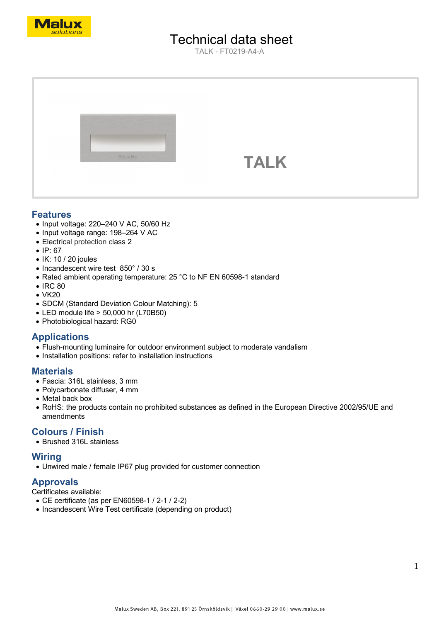

# Technical data sheet

TALK - FT0219-A4-A



## **Features**

- Input voltage: 220–240 V AC, 50/60 Hz
- Input voltage range: 198–264 V AC
- Electrical protection class 2
- IP: 67
- IK: 10 / 20 joules
- Incandescent wire test 850° / 30 s
- Rated ambient operating temperature: 25 °C to NF EN 60598-1 standard
- IRC 80
- VK20
- SDCM (Standard Deviation Colour Matching): 5
- LED module life > 50,000 hr (L70B50)
- Photobiological hazard: RG0

## **Applications**

- Flush-mounting luminaire for outdoor environment subject to moderate vandalism
- Installation positions: refer to installation instructions

## **Materials**

- Fascia: 316L stainless, 3 mm
- Polycarbonate diffuser, 4 mm
- Metal back box
- RoHS: the products contain no prohibited substances as defined in the European Directive 2002/95/UE and amendments

## **Colours / Finish**

• Brushed 316L stainless

## **Wiring**

• Unwired male / female IP67 plug provided for customer connection

## **Approvals**

Certificates available:

- CE certificate (as per EN60598-1 / 2-1 / 2-2)
- Incandescent Wire Test certificate (depending on product)